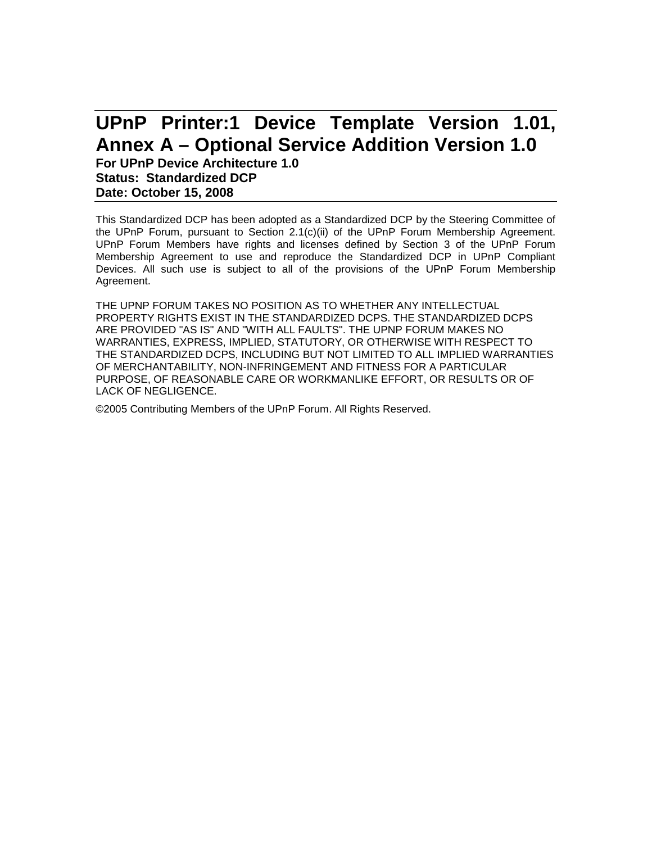# **UPnP Printer:1 Device Template Version 1.01, Annex A – Optional Service Addition Version 1.0 For UPnP Device Architecture 1.0**

**Status: Standardized DCP Date: October 15, 2008**

This Standardized DCP has been adopted as a Standardized DCP by the Steering Committee of the UPnP Forum, pursuant to Section 2.1(c)(ii) of the UPnP Forum Membership Agreement. UPnP Forum Members have rights and licenses defined by Section 3 of the UPnP Forum Membership Agreement to use and reproduce the Standardized DCP in UPnP Compliant Devices. All such use is subject to all of the provisions of the UPnP Forum Membership Agreement.

THE UPNP FORUM TAKES NO POSITION AS TO WHETHER ANY INTELLECTUAL PROPERTY RIGHTS EXIST IN THE STANDARDIZED DCPS. THE STANDARDIZED DCPS ARE PROVIDED "AS IS" AND "WITH ALL FAULTS". THE UPNP FORUM MAKES NO WARRANTIES, EXPRESS, IMPLIED, STATUTORY, OR OTHERWISE WITH RESPECT TO THE STANDARDIZED DCPS, INCLUDING BUT NOT LIMITED TO ALL IMPLIED WARRANTIES OF MERCHANTABILITY, NON-INFRINGEMENT AND FITNESS FOR A PARTICULAR PURPOSE, OF REASONABLE CARE OR WORKMANLIKE EFFORT, OR RESULTS OR OF LACK OF NEGLIGENCE.

©2005 Contributing Members of the UPnP Forum. All Rights Reserved.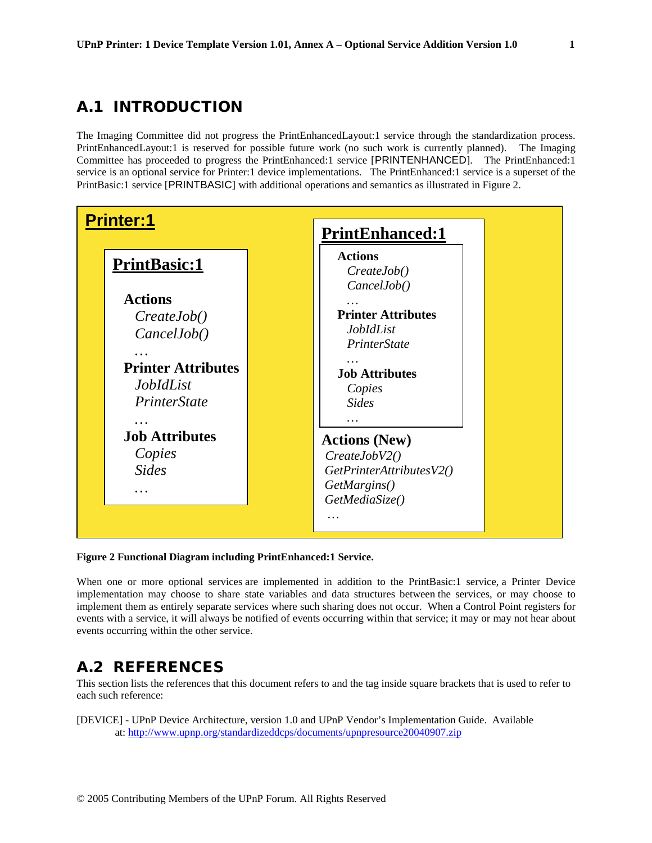### A.1 INTRODUCTION

The Imaging Committee did not progress the PrintEnhancedLayout:1 service through the standardization process. PrintEnhancedLayout:1 is reserved for possible future work (no such work is currently planned). The Imaging Committee has proceeded to progress the PrintEnhanced:1 service [PRINTENHANCED]. The PrintEnhanced:1 service is an optional service for Printer:1 device implementations. The PrintEnhanced:1 service is a superset of the PrintBasic:1 service [PRINTBASIC] with additional operations and semantics as illustrated in Figure 2.



### **Figure 2 Functional Diagram including PrintEnhanced:1 Service.**

When one or more optional services are implemented in addition to the PrintBasic:1 service, a Printer Device implementation may choose to share state variables and data structures between the services, or may choose to implement them as entirely separate services where such sharing does not occur. When a Control Point registers for events with a service, it will always be notified of events occurring within that service; it may or may not hear about events occurring within the other service.

### A.2 REFERENCES

This section lists the references that this document refers to and the tag inside square brackets that is used to refer to each such reference:

[DEVICE] - UPnP Device Architecture, version 1.0 and UPnP Vendor's Implementation Guide. Available at:<http://www.upnp.org/standardizeddcps/documents/upnpresource20040907.zip>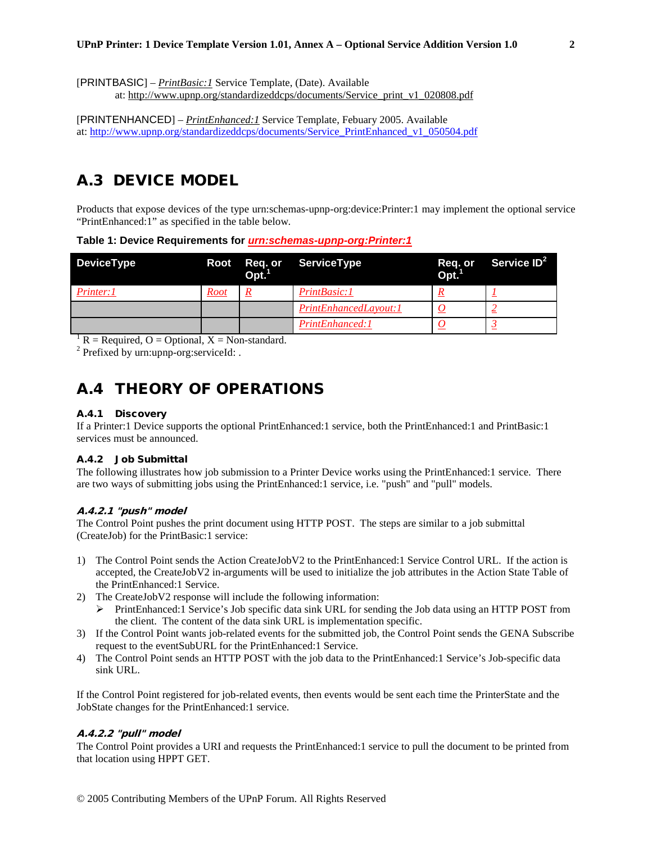[PRINTBASIC] – *PrintBasic:1* Service Template, (Date). Available

at: [http://www.upnp.org/standardizeddcps/documents/Service\\_print\\_v1\\_020808.pdf](http://www.upnp.org/standardizeddcps/documents/Service_print_v1_020808.pdf)

[PRINTENHANCED] – *PrintEnhanced:1* Service Template, Febuary 2005. Available at: [http://www.upnp.org/standardizeddcps/documents/Service\\_PrintEnhanced\\_v1\\_050504.pdf](http://www.upnp.org/standardizeddcps/documents/Service_PrintEnhanced_v1_050504.pdf)

## A.3 DEVICE MODEL

Products that expose devices of the type urn:schemas-upnp-org:device:Printer:1 may implement the optional service "PrintEnhanced:1" as specified in the table below.

### **Table 1: Device Requirements for** *urn:schemas-upnp-org:Printer:1*

| <b>DeviceType</b> | Root | Opt. | Req. or ServiceType   | Opt. | Req. or Service ID <sup>2</sup> |
|-------------------|------|------|-----------------------|------|---------------------------------|
| Printer: 1        | Root |      | PrintBasic:1          |      |                                 |
|                   |      |      | PrintEnhancedLayout:1 |      |                                 |
|                   |      |      | PrintEnhanced:1       |      |                                 |

<sup>1</sup> R = Required, O = Optional, X = Non-standard.<sup>2</sup> Prefixed by urn:upnp-org:serviceId:

### A.4 THEORY OF OPERATIONS

### A.4.1 Discovery

If a Printer:1 Device supports the optional PrintEnhanced:1 service, both the PrintEnhanced:1 and PrintBasic:1 services must be announced.

### A.4.2 Job Submittal

The following illustrates how job submission to a Printer Device works using the PrintEnhanced:1 service. There are two ways of submitting jobs using the PrintEnhanced:1 service, i.e. "push" and "pull" models.

### A.4.2.1 "push" model

The Control Point pushes the print document using HTTP POST. The steps are similar to a job submittal (CreateJob) for the PrintBasic:1 service:

- 1) The Control Point sends the Action CreateJobV2 to the PrintEnhanced:1 Service Control URL. If the action is accepted, the CreateJobV2 in-arguments will be used to initialize the job attributes in the Action State Table of the PrintEnhanced:1 Service.
- 2) The CreateJobV2 response will include the following information:
	- PrintEnhanced:1 Service's Job specific data sink URL for sending the Job data using an HTTP POST from the client. The content of the data sink URL is implementation specific.
- 3) If the Control Point wants job-related events for the submitted job, the Control Point sends the GENA Subscribe request to the eventSubURL for the PrintEnhanced:1 Service.
- 4) The Control Point sends an HTTP POST with the job data to the PrintEnhanced:1 Service's Job-specific data sink URL.

If the Control Point registered for job-related events, then events would be sent each time the PrinterState and the JobState changes for the PrintEnhanced:1 service.

### A.4.2.2 "pull" model

The Control Point provides a URI and requests the PrintEnhanced:1 service to pull the document to be printed from that location using HPPT GET.